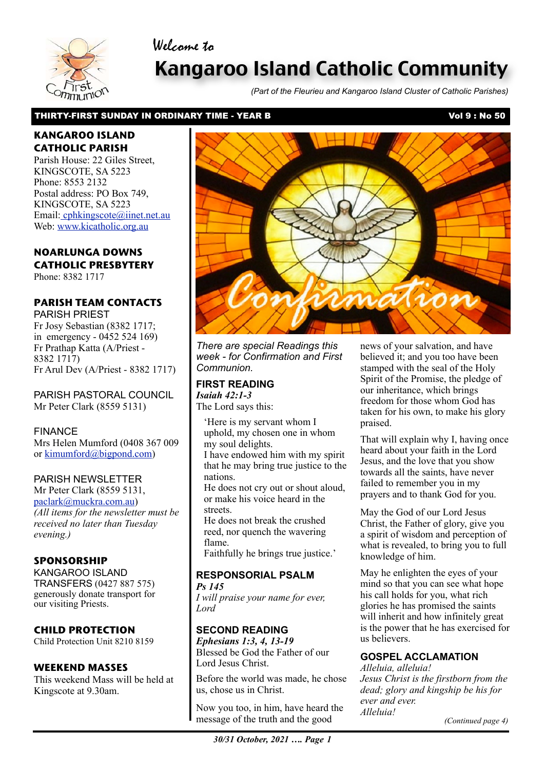### Welcome to



# Kangaroo Island Catholic Community

*(Part of the Fleurieu and Kangaroo Island Cluster of Catholic Parishes)*

### THIRTY-FIRST SUNDAY IN ORDINARY TIME - YEAR B VOLT NAMEL AND SO VOL 9 : No 50

### **KANGAROO ISLAND CATHOLIC PARISH**

Parish House: 22 Giles Street, KINGSCOTE, SA 5223 Phone: 8553 2132 Postal address: PO Box 749, KINGSCOTE, SA 5223 Email[: cphkingscote@iinet.net.au](mailto:cphkingscote@iinet.net.au) Web: [www.kicatholic.org.au](http://www.kicatholic.org.au)

### **NOARLUNGA DOWNS CATHOLIC PRESBYTERY**

Phone: 8382 1717

### **PARISH TEAM CONTACTS**

PARISH PRIEST Fr Josy Sebastian (8382 1717; in emergency - 0452 524 169) Fr Prathap Katta (A/Priest - 8382 1717) Fr Arul Dev (A/Priest - 8382 1717)

PARISH PASTORAL COUNCIL Mr Peter Clark (8559 5131)

FINANCE Mrs Helen Mumford (0408 367 009 or [kimumford@bigpond.com\)](mailto:kimumford@bigpond.com)

### PARISH NEWSLETTER

Mr Peter Clark (8559 5131, [paclark@muckra.com.au\)](mailto:paclark@muckra.com.au) *(All items for the newsletter must be received no later than Tuesday evening.)*

### **SPONSORSHIP**

KANGAROO ISLAND TRANSFERS (0427 887 575) generously donate transport for our visiting Priests.

### **CHILD PROTECTION**

Child Protection Unit 8210 8159

### **WEEKEND MASSES**

This weekend Mass will be held at Kingscote at 9.30am.



*There are special Readings this week - for Confirmation and First Communion.*

#### **FIRST READING** *Isaiah 42:1-3*

The Lord says this:

'Here is my servant whom I uphold, my chosen one in whom my soul delights. I have endowed him with my spirit

that he may bring true justice to the nations.

He does not cry out or shout aloud, or make his voice heard in the **streets** 

He does not break the crushed reed, nor quench the wavering flame.

Faithfully he brings true justice.'

#### **RESPONSORIAL PSALM** *Ps 145*

*I will praise your name for ever, Lord*

### **SECOND READING**

*Ephesians 1:3, 4, 13-19* Blessed be God the Father of our Lord Jesus Christ.

Before the world was made, he chose us, chose us in Christ.

 message of the truth and the good Now you too, in him, have heard the

news of your salvation, and have believed it; and you too have been stamped with the seal of the Holy Spirit of the Promise, the pledge of our inheritance, which brings freedom for those whom God has taken for his own, to make his glory praised.

That will explain why I, having once heard about your faith in the Lord Jesus, and the love that you show towards all the saints, have never failed to remember you in my prayers and to thank God for you.

May the God of our Lord Jesus Christ, the Father of glory, give you a spirit of wisdom and perception of what is revealed, to bring you to full knowledge of him.

May he enlighten the eyes of your mind so that you can see what hope his call holds for you, what rich glories he has promised the saints will inherit and how infinitely great is the power that he has exercised for us believers.

### **GOSPEL ACCLAMATION**

*Alleluia, alleluia! Jesus Christ is the firstborn from the dead; glory and kingship be his for ever and ever. Alleluia!*

*(Continued page 4)*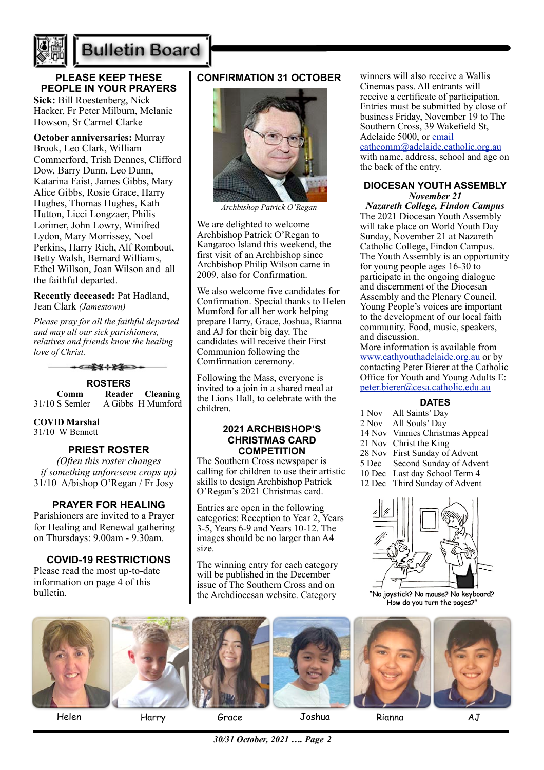

# **Bulletin Board**

**PLEASE KEEP THESE PEOPLE IN YOUR PRAYERS Sick:** Bill Roestenberg, Nick Hacker, Fr Peter Milburn, Melanie Howson, Sr Carmel Clarke

**October anniversaries:** Murray Brook, Leo Clark, William Commerford, Trish Dennes, Clifford Dow, Barry Dunn, Leo Dunn, Katarina Faist, James Gibbs, Mary Alice Gibbs, Rosie Grace, Harry Hughes, Thomas Hughes, Kath Hutton, Licci Longzaer, Philis Lorimer, John Lowry, Winifred Lydon, Mary Morrissey, Noel Perkins, Harry Rich, Alf Rombout, Betty Walsh, Bernard Williams, Ethel Willson, Joan Wilson and all the faithful departed.

#### **Recently deceased:** Pat Hadland, Jean Clark *(Jamestown)*

*Please pray for all the faithful departed and may all our sick parishioners, relatives and friends know the healing love of Christ.*



31/10 S Semler A Gibbs H Mumford

### **COVID Marsha**l

31/10 W Bennett

### **PRIEST ROSTER**

*(Often this roster changes if something unforeseen crops up)* 31/10 A/bishop O'Regan / Fr Josy

### **PRAYER FOR HEALING**

Parishioners are invited to a Prayer for Healing and Renewal gathering on Thursdays: 9.00am - 9.30am.

### **COVID-19 RESTRICTIONS**

Please read the most up-to-date information on page 4 of this bulletin.

### **CONFIRMATION 31 OCTOBER**



*Archbishop Patrick O'Regan*

We are delighted to welcome Archbishop Patrick O'Regan to Kangaroo Island this weekend, the first visit of an Archbishop since Archbishop Philip Wilson came in 2009, also for Confirmation.

We also welcome five candidates for Confirmation. Special thanks to Helen Mumford for all her work helping prepare Harry, Grace, Joshua, Rianna and AJ for their big day. The candidates will receive their First Communion following the Comfirmation ceremony.

Following the Mass, everyone is invited to a join in a shared meal at the Lions Hall, to celebrate with the children.

#### **2021 ARCHBISHOP'S CHRISTMAS CARD COMPETITION**

The Southern Cross newspaper is calling for children to use their artistic skills to design Archbishop Patrick O'Regan's 2021 Christmas card.

Entries are open in the following categories: Reception to Year 2, Years 3-5, Years 6-9 and Years 10-12. The images should be no larger than A4 size.

The winning entry for each category will be published in the December issue of The Southern Cross and on the Archdiocesan website. Category

winners will also receive a Wallis Cinemas pass. All entrants will receive a certificate of participation. Entries must be submitted by close of business Friday, November 19 to The Southern Cross, 39 Wakefield St, Adelaide 5000, or [email](mailto:email%20cathcomm@adelaide.catholic.org.au)  [cathcomm@adelaide.catholic.org.au](mailto:email%20cathcomm@adelaide.catholic.org.au) with name, address, school and age on the back of the entry.

### **DIOCESAN YOUTH ASSEMBLY**  *November 21*

*Nazareth College, Findon Campus* The 2021 Diocesan Youth Assembly will take place on World Youth Day Sunday, November 21 at Nazareth Catholic College, Findon Campus. The Youth Assembly is an opportunity for young people ages 16-30 to participate in the ongoing dialogue and discernment of the Diocesan Assembly and the Plenary Council. Young People's voices are important to the development of our local faith community. Food, music, speakers, and discussion.

More information is available from [www.cathyouthadelaide.org.au](https://aus01.safelinks.protection.outlook.com/?url=http%3A%2F%2Fwww.cathyouthadelaide.org.au%2F&data=04%7C01%7CCco-Reception%40adelaide.catholic.org.au%7C5c5a064587d64fd58da708d98c5780a3%7Cfe51d108d61d407cbcaaaab5af82a7ac%7C1%7C0%7C637695129719442207%7CUnknown%7CTWFpbGZsb3d8eyJWIjoiMC4wLjAwMDAiLCJQIjoiV2luMzIiLCJBTiI6Ik1haWwiLCJXVCI6Mn0%3D%7C1000&sdata=nWwfEeELlVaxAeFUgDIBZJyQU3yeIiGbQMfRYO3VPtk%3D&reserved=0) or by contacting Peter Bierer at the Catholic Office for Youth and Young Adults E: [peter.bierer@cesa.catholic.edu.au](mailto:peter.bierer@cesa.catholic.edu.au) 

### **DATES**

1 Nov All Saints' Day 2 Nov All Souls' Day 14 Nov Vinnies Christmas Appeal 21 Nov Christ the King 28 Nov First Sunday of Advent<br>5 Dec Second Sunday of Adve Second Sunday of Advent 10 Dec Last day School Term 4 12 Dec Third Sunday of Advent



"No joystick? No mouse? No keyboard? How do you turn the pages?"



Helen Harry Grace Joshua Rianna AJ

*30/31 October, 2021 …. Page 2*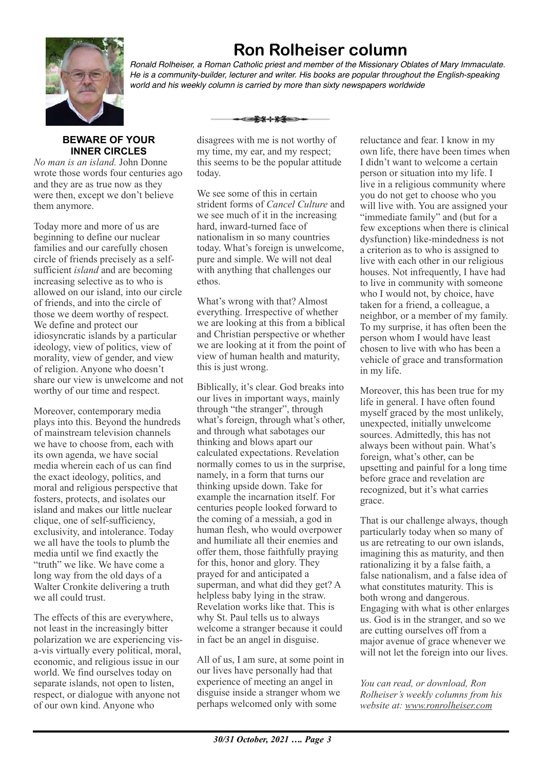

**Ron Rolheiser column**

*Ronald Rolheiser, a Roman Catholic priest and member of the Missionary Oblates of Mary Immaculate. He is a community-builder, lecturer and writer. His books are popular throughout the English-speaking world and his weekly column is carried by more than sixty newspapers worldwide*

### **BEWARE OF YOUR INNER CIRCLES**

*No man is an island.* John Donne wrote those words four centuries ago and they are as true now as they were then, except we don't believe them anymore.

Today more and more of us are beginning to define our nuclear families and our carefully chosen circle of friends precisely as a selfsufficient *island* and are becoming increasing selective as to who is allowed on our island, into our circle of friends, and into the circle of those we deem worthy of respect. We define and protect our idiosyncratic islands by a particular ideology, view of politics, view of morality, view of gender, and view of religion. Anyone who doesn't share our view is unwelcome and not worthy of our time and respect.

Moreover, contemporary media plays into this. Beyond the hundreds of mainstream television channels we have to choose from, each with its own agenda, we have social media wherein each of us can find the exact ideology, politics, and moral and religious perspective that fosters, protects, and isolates our island and makes our little nuclear clique, one of self-sufficiency, exclusivity, and intolerance. Today we all have the tools to plumb the media until we find exactly the "truth" we like. We have come a long way from the old days of a Walter Cronkite delivering a truth we all could trust.

The effects of this are everywhere, not least in the increasingly bitter polarization we are experiencing visa-vis virtually every political, moral, economic, and religious issue in our world. We find ourselves today on separate islands, not open to listen, respect, or dialogue with anyone not of our own kind. Anyone who

disagrees with me is not worthy of my time, my ear, and my respect; this seems to be the popular attitude today.

⊂≡≩⊀⊹≵≨≔≥

We see some of this in certain strident forms of *Cancel Culture* and we see much of it in the increasing hard, inward-turned face of nationalism in so many countries today. What's foreign is unwelcome, pure and simple. We will not deal with anything that challenges our ethos.

What's wrong with that? Almost everything. Irrespective of whether we are looking at this from a biblical and Christian perspective or whether we are looking at it from the point of view of human health and maturity, this is just wrong.

Biblically, it's clear. God breaks into our lives in important ways, mainly through "the stranger", through what's foreign, through what's other, and through what sabotages our thinking and blows apart our calculated expectations. Revelation normally comes to us in the surprise, namely, in a form that turns our thinking upside down. Take for example the incarnation itself. For centuries people looked forward to the coming of a messiah, a god in human flesh, who would overpower and humiliate all their enemies and offer them, those faithfully praying for this, honor and glory. They prayed for and anticipated a superman, and what did they get? A helpless baby lying in the straw. Revelation works like that. This is why St. Paul tells us to always welcome a stranger because it could in fact be an angel in disguise.

All of us, I am sure, at some point in our lives have personally had that experience of meeting an angel in disguise inside a stranger whom we perhaps welcomed only with some

reluctance and fear. I know in my own life, there have been times when I didn't want to welcome a certain person or situation into my life. I live in a religious community where you do not get to choose who you will live with. You are assigned your "immediate family" and (but for a few exceptions when there is clinical dysfunction) like-mindedness is not a criterion as to who is assigned to live with each other in our religious houses. Not infrequently. I have had to live in community with someone who I would not, by choice, have taken for a friend, a colleague, a neighbor, or a member of my family. To my surprise, it has often been the person whom I would have least chosen to live with who has been a vehicle of grace and transformation in my life.

Moreover, this has been true for my life in general. I have often found myself graced by the most unlikely, unexpected, initially unwelcome sources. Admittedly, this has not always been without pain. What's foreign, what's other, can be upsetting and painful for a long time before grace and revelation are recognized, but it's what carries grace.

That is our challenge always, though particularly today when so many of us are retreating to our own islands, imagining this as maturity, and then rationalizing it by a false faith, a false nationalism, and a false idea of what constitutes maturity. This is both wrong and dangerous. Engaging with what is other enlarges us. God is in the stranger, and so we are cutting ourselves off from a major avenue of grace whenever we will not let the foreign into our lives.

*You can read, or download, Ron Rolheiser's weekly columns from his website at: www.ronrolheiser.com*